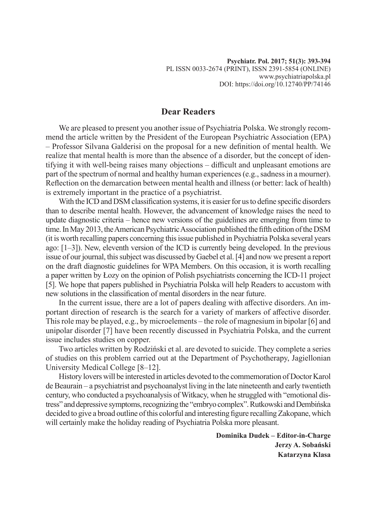## **Dear Readers**

We are pleased to present you another issue of Psychiatria Polska. We strongly recommend the article written by the President of the European Psychiatric Association (EPA) – Professor Silvana Galderisi on the proposal for a new definition of mental health. We realize that mental health is more than the absence of a disorder, but the concept of identifying it with well-being raises many objections – difficult and unpleasant emotions are part of the spectrum of normal and healthy human experiences (e.g., sadness in a mourner). Reflection on the demarcation between mental health and illness (or better: lack of health) is extremely important in the practice of a psychiatrist.

With the ICD and DSM classification systems, it is easier for us to define specific disorders than to describe mental health. However, the advancement of knowledge raises the need to update diagnostic criteria – hence new versions of the guidelines are emerging from time to time. In May 2013, the American Psychiatric Association published the fifth edition of the DSM (it is worth recalling papers concerning this issue published in Psychiatria Polska several years ago: [1–3]). New, eleventh version of the ICD is currently being developed. In the previous issue of our journal, this subject was discussed by Gaebel et al. [4] and now we present a report on the draft diagnostic guidelines for WPA Members. On this occasion, it is worth recalling a paper written by Łozy on the opinion of Polish psychiatrists concerning the ICD-11 project [5]. We hope that papers published in Psychiatria Polska will help Readers to accustom with new solutions in the classification of mental disorders in the near future.

In the current issue, there are a lot of papers dealing with affective disorders. An important direction of research is the search for a variety of markers of affective disorder. This role may be played, e.g., by microelements – the role of magnesium in bipolar [6] and unipolar disorder [7] have been recently discussed in Psychiatria Polska, and the current issue includes studies on copper.

Two articles written by Rodziński et al. are devoted to suicide. They complete a series of studies on this problem carried out at the Department of Psychotherapy, Jagiellonian University Medical College [8–12].

History lovers will be interested in articles devoted to the commemoration of Doctor Karol de Beaurain – a psychiatrist and psychoanalyst living in the late nineteenth and early twentieth century, who conducted a psychoanalysis of Witkacy, when he struggled with "emotional distress" and depressive symptoms, recognizing the "embryo complex". Rutkowski and Dembińska decided to give a broad outline of this colorful and interesting figure recalling Zakopane, which will certainly make the holiday reading of Psychiatria Polska more pleasant.

> **Dominika Dudek – Editor-in-Charge Jerzy A. Sobański Katarzyna Klasa**